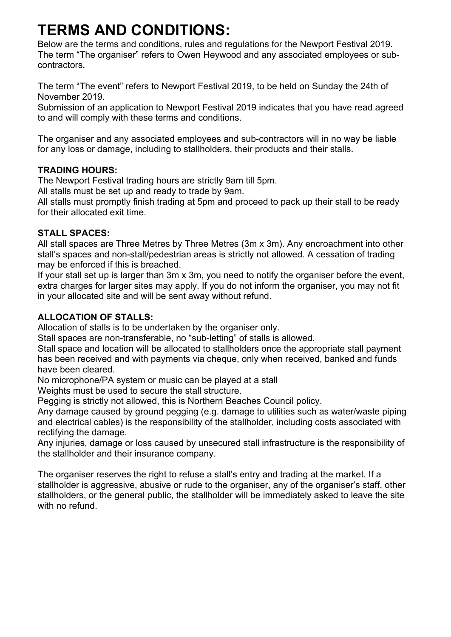# **TERMS AND CONDITIONS:**

Below are the terms and conditions, rules and regulations for the Newport Festival 2019. The term "The organiser" refers to Owen Heywood and any associated employees or subcontractors.

The term "The event" refers to Newport Festival 2019, to be held on Sunday the 24th of November 2019.

Submission of an application to Newport Festival 2019 indicates that you have read agreed to and will comply with these terms and conditions.

The organiser and any associated employees and sub-contractors will in no way be liable for any loss or damage, including to stallholders, their products and their stalls.

# **TRADING HOURS:**

The Newport Festival trading hours are strictly 9am till 5pm.

All stalls must be set up and ready to trade by 9am.

All stalls must promptly finish trading at 5pm and proceed to pack up their stall to be ready for their allocated exit time.

# **STALL SPACES:**

All stall spaces are Three Metres by Three Metres (3m x 3m). Any encroachment into other stall's spaces and non-stall/pedestrian areas is strictly not allowed. A cessation of trading may be enforced if this is breached.

If your stall set up is larger than 3m x 3m, you need to notify the organiser before the event, extra charges for larger sites may apply. If you do not inform the organiser, you may not fit in your allocated site and will be sent away without refund.

# **ALLOCATION OF STALLS:**

Allocation of stalls is to be undertaken by the organiser only.

Stall spaces are non-transferable, no "sub-letting" of stalls is allowed.

Stall space and location will be allocated to stallholders once the appropriate stall payment has been received and with payments via cheque, only when received, banked and funds have been cleared.

No microphone/PA system or music can be played at a stall

Weights must be used to secure the stall structure.

Pegging is strictly not allowed, this is Northern Beaches Council policy.

Any damage caused by ground pegging (e.g. damage to utilities such as water/waste piping and electrical cables) is the responsibility of the stallholder, including costs associated with rectifying the damage.

Any injuries, damage or loss caused by unsecured stall infrastructure is the responsibility of the stallholder and their insurance company.

The organiser reserves the right to refuse a stall's entry and trading at the market. If a stallholder is aggressive, abusive or rude to the organiser, any of the organiser's staff, other stallholders, or the general public, the stallholder will be immediately asked to leave the site with no refund.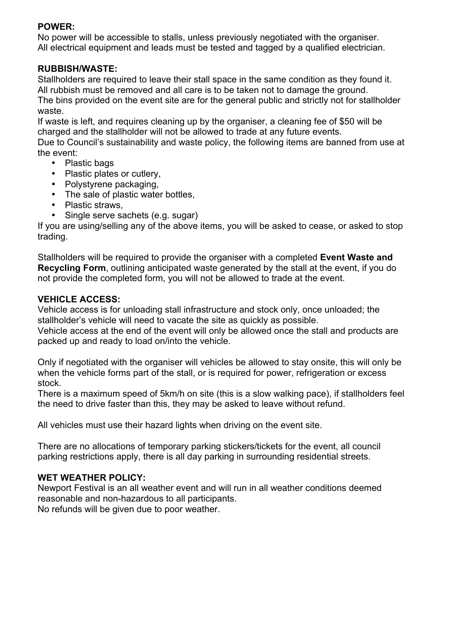## **POWER:**

No power will be accessible to stalls, unless previously negotiated with the organiser. All electrical equipment and leads must be tested and tagged by a qualified electrician.

#### **RUBBISH/WASTE:**

Stallholders are required to leave their stall space in the same condition as they found it. All rubbish must be removed and all care is to be taken not to damage the ground. The bins provided on the event site are for the general public and strictly not for stallholder waste.

If waste is left, and requires cleaning up by the organiser, a cleaning fee of \$50 will be charged and the stallholder will not be allowed to trade at any future events.

Due to Council's sustainability and waste policy, the following items are banned from use at the event:

- Plastic bags
- Plastic plates or cutlery,
- Polystyrene packaging,
- The sale of plastic water bottles,
- Plastic straws.
- Single serve sachets (e.g. sugar)

If you are using/selling any of the above items, you will be asked to cease, or asked to stop trading.

Stallholders will be required to provide the organiser with a completed **Event Waste and Recycling Form**, outlining anticipated waste generated by the stall at the event, if you do not provide the completed form, you will not be allowed to trade at the event.

# **VEHICLE ACCESS:**

Vehicle access is for unloading stall infrastructure and stock only, once unloaded; the stallholder's vehicle will need to vacate the site as quickly as possible.

Vehicle access at the end of the event will only be allowed once the stall and products are packed up and ready to load on/into the vehicle.

Only if negotiated with the organiser will vehicles be allowed to stay onsite, this will only be when the vehicle forms part of the stall, or is required for power, refrigeration or excess stock.

There is a maximum speed of 5km/h on site (this is a slow walking pace), if stallholders feel the need to drive faster than this, they may be asked to leave without refund.

All vehicles must use their hazard lights when driving on the event site.

There are no allocations of temporary parking stickers/tickets for the event, all council parking restrictions apply, there is all day parking in surrounding residential streets.

# **WET WEATHER POLICY:**

Newport Festival is an all weather event and will run in all weather conditions deemed reasonable and non-hazardous to all participants. No refunds will be given due to poor weather.